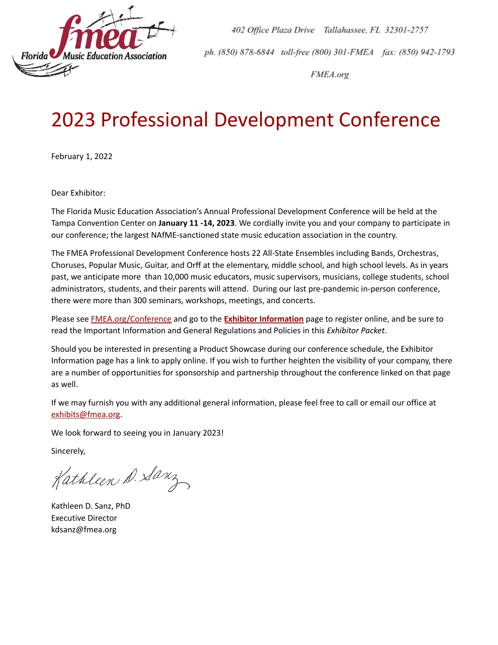

402 Office Plaza Drive Tallahassee, FL 32301-2757 ph. (850) 878-6844 toll-free (800) 301-FMEA fax: (850) 942-1793

FMEA.org

# 2023 Professional Development Conference

February 1, 2022

Dear Exhibitor:

The Florida Music Education Association's Annual Professional Development Conference will be held at the Tampa Convention Center on **January 11 -14, 2023**. We cordially invite you and your company to participate in our conference; the largest NAfME-sanctioned state music education association in the country.

The FMEA Professional Development Conference hosts 22 All-State Ensembles including Bands, Orchestras, Choruses, Popular Music, Guitar, and Orff at the elementary, middle school, and high school levels. As in years past, we anticipate more than 10,000 music educators, music supervisors, musicians, college students, school administrators, students, and their parents will attend. During our last pre-pandemic in-person conference, there were more than 300 seminars, workshops, meetings, and concerts.

Please see [FMEA.org/Conference](https://fmea.org/conference) and go to the **Exhibitor [Information](https://fmea.org/conference/exhibitor-information/)** page to register online, and be sure to read the Important Information and General Regulations and Policies in this *Exhibitor Packet*.

Should you be interested in presenting a Product Showcase during our conference schedule, the Exhibitor Information page has a link to apply online. If you wish to further heighten the visibility of your company, there are a number of opportunities for sponsorship and partnership throughout the conference linked on that page as well.

If we may furnish you with any additional general information, please feel free to call or email our office at [exhibits@fmea.org.](mailto:exhibits@fmea.org)

We look forward to seeing you in January 2023!

Sincerely,

Kathleen D. Sanz

Kathleen D. Sanz, PhD Executive Director kdsanz@fmea.org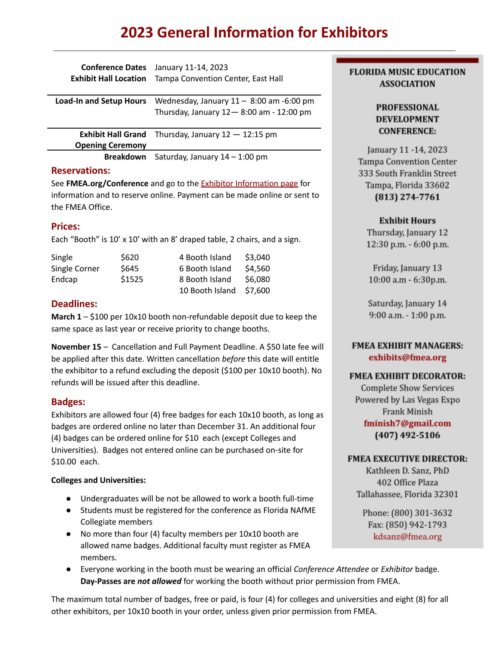# **2023 General Information for Exhibitors**

| <b>Conference Dates</b><br><b>Exhibit Hall Location</b> | January 11-14, 2023<br>Tampa Convention Center, East Hall                             |
|---------------------------------------------------------|---------------------------------------------------------------------------------------|
| <b>Load-In and Setup Hours</b>                          | Wednesday, January $11 - 8:00$ am -6:00 pm<br>Thursday, January 12-8:00 am - 12:00 pm |
| <b>Exhibit Hall Grand</b><br><b>Opening Ceremony</b>    | Thursday, January $12 - 12:15$ pm                                                     |
| <b>Breakdown</b>                                        | Saturday, January $14 - 1:00$ pm                                                      |

#### **Reservations:**

See **FMEA.org/Conference** and go to the Exhibitor [Information](https://fmea.org/conference/exhibitor-information/) page for information and to reserve online. Payment can be made online or sent to the FMEA Office.

# **Prices:**

Each "Booth" is 10' x 10' with an 8' draped table, 2 chairs, and a sign.

| Single        | \$620  | 4 Booth Island  | \$3,040 |
|---------------|--------|-----------------|---------|
| Single Corner | \$645  | 6 Booth Island  | \$4,560 |
| Endcap        | \$1525 | 8 Booth Island  | \$6,080 |
|               |        | 10 Booth Island | \$7.600 |

# **Deadlines:**

**March 1** – \$100 per 10x10 booth non-refundable deposit due to keep the same space as last year or receive priority to change booths.

**November 15** – Cancellation and Full Payment Deadline. A \$50 late fee will be applied after this date. Written cancellation *before* this date will entitle the exhibitor to a refund excluding the deposit (\$100 per 10x10 booth). No refunds will be issued after this deadline.

# **Badges:**

Exhibitors are allowed four (4) free badges for each 10x10 booth, as long as badges are ordered online no later than December 31. An additional four (4) badges can be ordered online for \$10 each (except Colleges and Universities). Badges not entered online can be purchased on-site for \$10.00 each.

# **Colleges and Universities:**

- Undergraduates will be not be allowed to work a booth full-time
- Students must be registered for the conference as Florida NAfME Collegiate members
- No more than four (4) faculty members per 10x10 booth are allowed name badges. Additional faculty must register as FMEA members.
- Everyone working in the booth must be wearing an official *Conference Attendee* or *Exhibitor* badge. **Day-Passes are** *not allowed* for working the booth without prior permission from FMEA.

The maximum total number of badges, free or paid, is four (4) for colleges and universities and eight (8) for all other exhibitors, per 10x10 booth in your order, unless given prior permission from FMEA.

# **FLORIDA MUSIC EDUCATION ASSOCIATION**

# **PROFESSIONAL DEVELOPMENT CONFERENCE:**

January 11 -14, 2023 Tampa Convention Center 333 South Franklin Street Tampa, Florida 33602 (813) 274-7761

# **Exhibit Hours**

Thursday, January 12 12:30 p.m. - 6:00 p.m.

Friday, January 13 10:00 a.m - 6:30p.m.

Saturday, January 14 9:00 a.m. - 1:00 p.m.

# **FMEA EXHIBIT MANAGERS:** exhibits@fmea.org

# **FMEA EXHIBIT DECORATOR:**

**Complete Show Services** Powered by Las Vegas Expo Frank Minish fminish7@gmail.com (407) 492-5106

# **FMEA EXECUTIVE DIRECTOR:**

Kathleen D. Sanz, PhD 402 Office Plaza Tallahassee, Florida 32301

Phone: (800) 301-3632 Fax: (850) 942-1793 kdsanz@fmea.org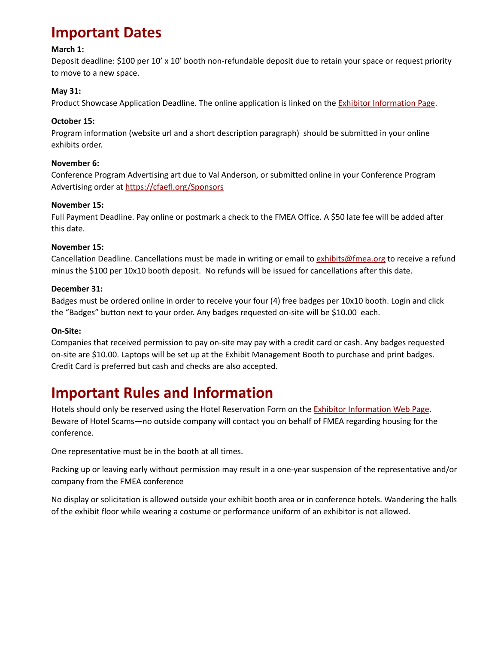# **Important Dates**

#### **March 1:**

Deposit deadline: \$100 per 10' x 10' booth non-refundable deposit due to retain your space or request priority to move to a new space.

#### **May 31:**

Product Showcase Application Deadline. The online application is linked on the **Exhibitor [Information](http://fmea.org/conference/exhibitor-information/) Page**.

#### **October 15:**

Program information (website url and a short description paragraph) should be submitted in your online exhibits order.

#### **November 6:**

Conference Program Advertising art due to Val Anderson, or submitted online in your Conference Program Advertising order at <https://cfaefl.org/Sponsors>

#### **November 15:**

Full Payment Deadline. Pay online or postmark a check to the FMEA Office. A \$50 late fee will be added after this date.

#### **November 15:**

Cancellation Deadline. Cancellations must be made in writing or email to [exhibits@fmea.org](mailto:exhibits@fmea.org) to receive a refund minus the \$100 per 10x10 booth deposit. No refunds will be issued for cancellations after this date.

#### **December 31:**

Badges must be ordered online in order to receive your four (4) free badges per 10x10 booth. Login and click the "Badges" button next to your order. Any badges requested on-site will be \$10.00 each.

#### **On-Site:**

Companies that received permission to pay on-site may pay with a credit card or cash. Any badges requested on-site are \$10.00. Laptops will be set up at the Exhibit Management Booth to purchase and print badges. Credit Card is preferred but cash and checks are also accepted.

# **Important Rules and Information**

Hotels should only be reserved using the Hotel Reservation Form on the Exhibitor [Information](https://fmea.org/conference/exhibitor-information/) Web Page. Beware of Hotel Scams—no outside company will contact you on behalf of FMEA regarding housing for the conference.

One representative must be in the booth at all times.

Packing up or leaving early without permission may result in a one-year suspension of the representative and/or company from the FMEA conference

No display or solicitation is allowed outside your exhibit booth area or in conference hotels. Wandering the halls of the exhibit floor while wearing a costume or performance uniform of an exhibitor is not allowed.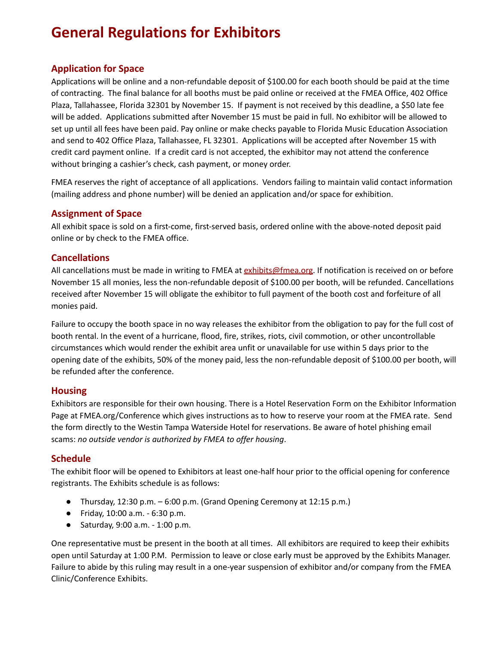# **General Regulations for Exhibitors**

# **Application for Space**

Applications will be online and a non-refundable deposit of \$100.00 for each booth should be paid at the time of contracting. The final balance for all booths must be paid online or received at the FMEA Office, 402 Office Plaza, Tallahassee, Florida 32301 by November 15. If payment is not received by this deadline, a \$50 late fee will be added. Applications submitted after November 15 must be paid in full. No exhibitor will be allowed to set up until all fees have been paid. Pay online or make checks payable to Florida Music Education Association and send to 402 Office Plaza, Tallahassee, FL 32301. Applications will be accepted after November 15 with credit card payment online. If a credit card is not accepted, the exhibitor may not attend the conference without bringing a cashier's check, cash payment, or money order.

FMEA reserves the right of acceptance of all applications. Vendors failing to maintain valid contact information (mailing address and phone number) will be denied an application and/or space for exhibition.

# **Assignment of Space**

All exhibit space is sold on a first-come, first-served basis, ordered online with the above-noted deposit paid online or by check to the FMEA office.

# **Cancellations**

All cancellations must be made in writing to FMEA at [exhibits@fmea.org.](mailto:exhibits@fmea.org) If notification is received on or before November 15 all monies, less the non-refundable deposit of \$100.00 per booth, will be refunded. Cancellations received after November 15 will obligate the exhibitor to full payment of the booth cost and forfeiture of all monies paid.

Failure to occupy the booth space in no way releases the exhibitor from the obligation to pay for the full cost of booth rental. In the event of a hurricane, flood, fire, strikes, riots, civil commotion, or other uncontrollable circumstances which would render the exhibit area unfit or unavailable for use within 5 days prior to the opening date of the exhibits, 50% of the money paid, less the non-refundable deposit of \$100.00 per booth, will be refunded after the conference.

# **Housing**

Exhibitors are responsible for their own housing. There is a Hotel Reservation Form on the Exhibitor Information Page at FMEA.org/Conference which gives instructions as to how to reserve your room at the FMEA rate. Send the form directly to the Westin Tampa Waterside Hotel for reservations. Be aware of hotel phishing email scams: *no outside vendor is authorized by FMEA to offer housing*.

# **Schedule**

The exhibit floor will be opened to Exhibitors at least one-half hour prior to the official opening for conference registrants. The Exhibits schedule is as follows:

- Thursday, 12:30 p.m. 6:00 p.m. (Grand Opening Ceremony at 12:15 p.m.)
- Friday, 10:00 a.m. 6:30 p.m.
- Saturday, 9:00 a.m. 1:00 p.m.

One representative must be present in the booth at all times. All exhibitors are required to keep their exhibits open until Saturday at 1:00 P.M. Permission to leave or close early must be approved by the Exhibits Manager. Failure to abide by this ruling may result in a one-year suspension of exhibitor and/or company from the FMEA Clinic/Conference Exhibits.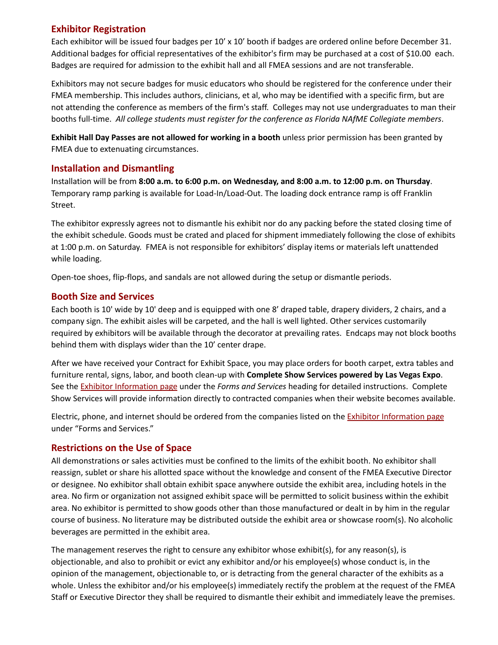# **Exhibitor Registration**

Each exhibitor will be issued four badges per 10' x 10' booth if badges are ordered online before December 31. Additional badges for official representatives of the exhibitor's firm may be purchased at a cost of \$10.00 each. Badges are required for admission to the exhibit hall and all FMEA sessions and are not transferable.

Exhibitors may not secure badges for music educators who should be registered for the conference under their FMEA membership. This includes authors, clinicians, et al, who may be identified with a specific firm, but are not attending the conference as members of the firm's staff. Colleges may not use undergraduates to man their booths full-time. *All college students must register for the conference as Florida NAfME Collegiate members*.

**Exhibit Hall Day Passes are not allowed for working in a booth** unless prior permission has been granted by FMEA due to extenuating circumstances.

# **Installation and Dismantling**

Installation will be from **8:00 a.m. to 6:00 p.m. on Wednesday, and 8:00 a.m. to 12:00 p.m. on Thursday**. Temporary ramp parking is available for Load-In/Load-Out. The loading dock entrance ramp is off Franklin Street.

The exhibitor expressly agrees not to dismantle his exhibit nor do any packing before the stated closing time of the exhibit schedule. Goods must be crated and placed for shipment immediately following the close of exhibits at 1:00 p.m. on Saturday. FMEA is not responsible for exhibitors' display items or materials left unattended while loading.

Open-toe shoes, flip-flops, and sandals are not allowed during the setup or dismantle periods.

# **Booth Size and Services**

Each booth is 10' wide by 10' deep and is equipped with one 8' draped table, drapery dividers, 2 chairs, and a company sign. The exhibit aisles will be carpeted, and the hall is well lighted. Other services customarily required by exhibitors will be available through the decorator at prevailing rates. Endcaps may not block booths behind them with displays wider than the 10' center drape.

After we have received your Contract for Exhibit Space, you may place orders for booth carpet, extra tables and furniture rental, signs, labor, and booth clean-up with **Complete Show Services powered by Las Vegas Expo**. See the Exhibitor [Information](https://fmea.org/conference/exhibitor-information/) page under the *Forms and Services* heading for detailed instructions. Complete Show Services will provide information directly to contracted companies when their website becomes available.

Electric, phone, and internet should be ordered from the companies listed on the **Exhibitor [Information](https://fmea.org/conference/exhibitor-information/) page** under "Forms and Services."

# **Restrictions on the Use of Space**

All demonstrations or sales activities must be confined to the limits of the exhibit booth. No exhibitor shall reassign, sublet or share his allotted space without the knowledge and consent of the FMEA Executive Director or designee. No exhibitor shall obtain exhibit space anywhere outside the exhibit area, including hotels in the area. No firm or organization not assigned exhibit space will be permitted to solicit business within the exhibit area. No exhibitor is permitted to show goods other than those manufactured or dealt in by him in the regular course of business. No literature may be distributed outside the exhibit area or showcase room(s). No alcoholic beverages are permitted in the exhibit area.

The management reserves the right to censure any exhibitor whose exhibit(s), for any reason(s), is objectionable, and also to prohibit or evict any exhibitor and/or his employee(s) whose conduct is, in the opinion of the management, objectionable to, or is detracting from the general character of the exhibits as a whole. Unless the exhibitor and/or his employee(s) immediately rectify the problem at the request of the FMEA Staff or Executive Director they shall be required to dismantle their exhibit and immediately leave the premises.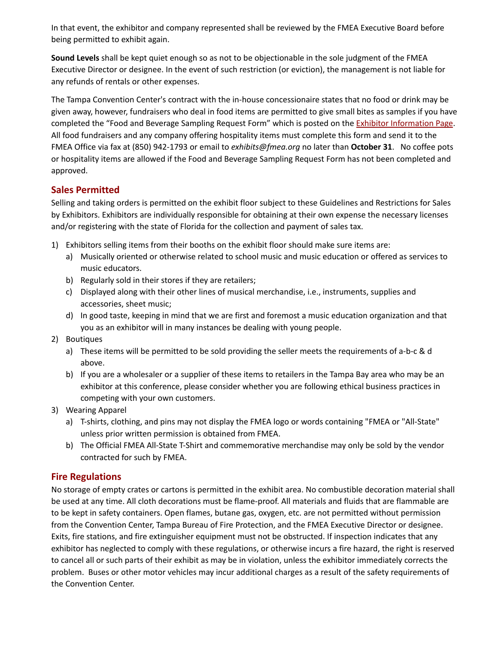In that event, the exhibitor and company represented shall be reviewed by the FMEA Executive Board before being permitted to exhibit again.

**Sound Levels** shall be kept quiet enough so as not to be objectionable in the sole judgment of the FMEA Executive Director or designee. In the event of such restriction (or eviction), the management is not liable for any refunds of rentals or other expenses.

The Tampa Convention Center's contract with the in-house concessionaire states that no food or drink may be given away, however, fundraisers who deal in food items are permitted to give small bites as samples if you have completed the "Food and Beverage Sampling Request Form" which is posted on the **Exhibitor [Information](https://fmea.org/conference/exhibitor-information/) Page**. All food fundraisers and any company offering hospitality items must complete this form and send it to the FMEA Office via fax at (850) 942-1793 or email to *exhibits@fmea.org* no later than **October 31**. No coffee pots or hospitality items are allowed if the Food and Beverage Sampling Request Form has not been completed and approved.

# **Sales Permitted**

Selling and taking orders is permitted on the exhibit floor subject to these Guidelines and Restrictions for Sales by Exhibitors. Exhibitors are individually responsible for obtaining at their own expense the necessary licenses and/or registering with the state of Florida for the collection and payment of sales tax.

- 1) Exhibitors selling items from their booths on the exhibit floor should make sure items are:
	- a) Musically oriented or otherwise related to school music and music education or offered as services to music educators.
	- b) Regularly sold in their stores if they are retailers;
	- c) Displayed along with their other lines of musical merchandise, i.e., instruments, supplies and accessories, sheet music;
	- d) In good taste, keeping in mind that we are first and foremost a music education organization and that you as an exhibitor will in many instances be dealing with young people.
- 2) Boutiques
	- a) These items will be permitted to be sold providing the seller meets the requirements of a-b-c & d above.
	- b) If you are a wholesaler or a supplier of these items to retailers in the Tampa Bay area who may be an exhibitor at this conference, please consider whether you are following ethical business practices in competing with your own customers.
- 3) Wearing Apparel
	- a) T-shirts, clothing, and pins may not display the FMEA logo or words containing "FMEA or "All-State" unless prior written permission is obtained from FMEA.
	- b) The Official FMEA All-State T-Shirt and commemorative merchandise may only be sold by the vendor contracted for such by FMEA.

# **Fire Regulations**

No storage of empty crates or cartons is permitted in the exhibit area. No combustible decoration material shall be used at any time. All cloth decorations must be flame-proof. All materials and fluids that are flammable are to be kept in safety containers. Open flames, butane gas, oxygen, etc. are not permitted without permission from the Convention Center, Tampa Bureau of Fire Protection, and the FMEA Executive Director or designee. Exits, fire stations, and fire extinguisher equipment must not be obstructed. If inspection indicates that any exhibitor has neglected to comply with these regulations, or otherwise incurs a fire hazard, the right is reserved to cancel all or such parts of their exhibit as may be in violation, unless the exhibitor immediately corrects the problem. Buses or other motor vehicles may incur additional charges as a result of the safety requirements of the Convention Center.